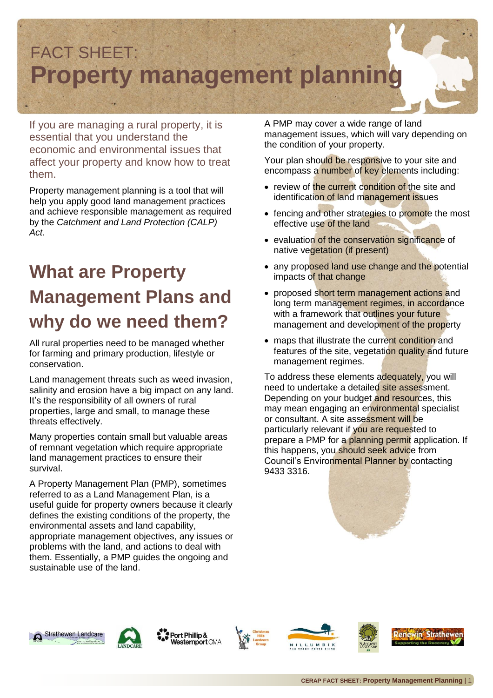

If you are managing a rural property, it is essential that you understand the economic and environmental issues that affect your property and know how to treat them.

Property management planning is a tool that will help you apply good land management practices and achieve responsible management as required by the *Catchment and Land Protection (CALP) Act.* 

## **What are Property Management Plans and why do we need them?**

All rural properties need to be managed whether for farming and primary production, lifestyle or conservation.

Land management threats such as weed invasion, salinity and erosion have a big impact on any land. It's the responsibility of all owners of rural properties, large and small, to manage these threats effectively.

Many properties contain small but valuable areas of remnant vegetation which require appropriate land management practices to ensure their survival.

A Property Management Plan (PMP), sometimes referred to as a Land Management Plan, is a useful guide for property owners because it clearly defines the existing conditions of the property, the environmental assets and land capability, appropriate management objectives, any issues or problems with the land, and actions to deal with them. Essentially, a PMP guides the ongoing and sustainable use of the land.

A PMP may cover a wide range of land management issues, which will vary depending on the condition of your property.

Your plan should be responsive to your site and encompass a number of key elements including:

- review of the current condition of the site and identification of land management issues
- fencing and other strategies to promote the most effective use of the land
- evaluation of the conservation significance of native vegetation (if present)
- any proposed land use change and the potential impacts of that change
- proposed short term management actions and long term management regimes, in accordance with a framework that outlines your future management and development of the property
- maps that illustrate the current condition and features of the site, vegetation quality and future management regimes.

To address these elements adequately, you will need to undertake a detailed site assessment. Depending on your budget and resources, this may mean engaging an environmental specialist or consultant. A site assessment will be particularly relevant if you are requested to prepare a PMP for a planning permit application. If this happens, you should seek advice from Council's Environmental Planner by contacting 9433 3316.







Port Phillip & Westernport CMA